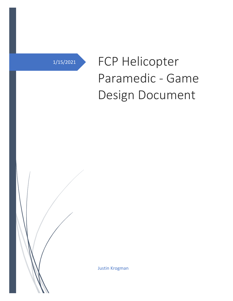# 1/15/2021 FCP Helicopter Paramedic - Game Design Document

Justin Krogman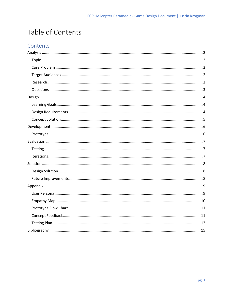# Table of Contents

## Contents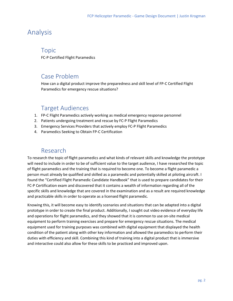# <span id="page-2-0"></span>Analysis

#### <span id="page-2-1"></span>Topic

FC-P Certified Flight Paramedics

## <span id="page-2-2"></span>Case Problem

How can a digital product improve the preparedness and skill level of FP-C Certified Flight Paramedics for emergency rescue situations?

# Target Audiences

- <span id="page-2-3"></span>1. FP-C Flight Paramedics actively working as medical emergency response personnel
- 2. Patients undergoing treatment and rescue by FC-P Flight Paramedics
- 3. Emergency Services Providers that actively employ FC-P Flight Paramedics
- 4. Paramedics Seeking to Obtain FP-C Certification

#### Research

<span id="page-2-4"></span>To research the topic of flight paramedics and what kinds of relevant skills and knowledge the prototype will need to include in order to be of sufficient value to the target audience, I have researched the topic of flight paramedics and the training that is required to become one. To become a flight paramedic a person must already be qualified and skilled as a paramedic and potentially skilled at piloting aircraft. I found the "Certified Flight Paramedic Candidate Handbook" that is used to prepare candidates for their FC-P Certification exam and discovered that it contains a wealth of information regarding all of the specific skills and knowledge that are covered in the examination and as a result are required knowledge and practicable skills in order to operate as a licensed flight paramedic.

Knowing this, it will become easy to identify scenarios and situations that can be adapted into a digital prototype in order to create the final product. Additionally, I sought out video evidence of everyday life and operations for flight paramedics, and they showed that it is common to use on-site medical equipment to perform training exercises and prepare for emergency rescue situations. The medical equipment used for training purposes was combined with digital equipment that displayed the health condition of the patient along with other key information and allowed the paramedics to perform their duties with efficiency and skill. Combining this kind of training into a digital product that is immersive and interactive could also allow for these skills to be practiced and improved upon.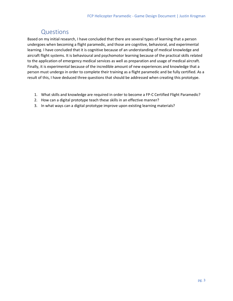# Questions

<span id="page-3-0"></span>Based on my initial research, I have concluded that there are several types of learning that a person undergoes when becoming a flight paramedic, and those are cognitive, behavioral, and experimental learning. I have concluded that it is cognitive because of an understanding of medical knowledge and aircraft flight systems. It is behavioural and psychomotor learning because of the practical skills related to the application of emergency medical services as well as preparation and usage of medical aircraft. Finally, it is experimental because of the incredible amount of new experiences and knowledge that a person must undergo in order to complete their training as a flight paramedic and be fully certified. As a result of this, I have deduced three questions that should be addressed when creating this prototype.

- 1. What skills and knowledge are required in order to become a FP-C Certified Flight Paramedic?
- 2. How can a digital prototype teach these skills in an effective manner?
- 3. In what ways can a digital prototype improve upon existing learning materials?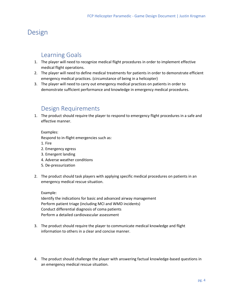# <span id="page-4-0"></span>Design

### <span id="page-4-1"></span>Learning Goals

- 1. The player will need to recognize medical flight procedures in order to implement effective medical flight operations.
- 2. The player will need to define medical treatments for patients in order to demonstrate efficient emergency medical practices. (circumstance of being in a helicopter)
- 3. The player will need to carry out emergency medical practices on patients in order to demonstrate sufficient performance and knowledge in emergency medical procedures.

## <span id="page-4-2"></span>Design Requirements

1. The product should require the player to respond to emergency flight procedures in a safe and effective manner.

Examples:

Respond to in-flight emergencies such as:

- 1. Fire
- 2. Emergency egress
- 3. Emergent landing
- 4. Adverse weather conditions
- 5. De-pressurization
- 2. The product should task players with applying specific medical procedures on patients in an emergency medical rescue situation.

Example:

Identify the indications for basic and advanced airway management Perform patient triage (including MCI and WMD incidents) Conduct differential diagnosis of coma patients Perform a detailed cardiovascular assessment

- 3. The product should require the player to communicate medical knowledge and flight information to others in a clear and concise manner.
- 4. The product should challenge the player with answering factual knowledge-based questions in an emergency medical rescue situation.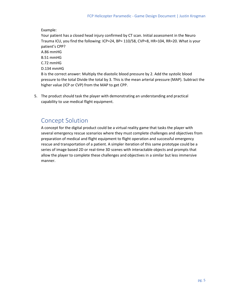Example:

Your patient has a closed head injury confirmed by CT scan. Initial assessment in the Neuro Trauma ICU, you find the following: ICP=24, BP= 110/58, CVP=8, HR=104, RR=20. What is your patient's CPP? A.86 mmHG B.51 mmHG C.72 mmHG D.134 mmHG B is the correct answer: Multiply the diastolic blood pressure by 2. Add the systolic blood pressure to the total Divide the total by 3. This is the mean arterial pressure (MAP). Subtract the higher value (ICP or CVP) from the MAP to get CPP.

5. The product should task the player with demonstrating an understanding and practical capability to use medical flight equipment.

# <span id="page-5-0"></span>Concept Solution

A concept for the digital product could be a virtual reality game that tasks the player with several emergency rescue scenarios where they must complete challenges and objectives from preparation of medical and flight equipment to flight operation and successful emergency rescue and transportation of a patient. A simpler iteration of this same prototype could be a series of image based 2D or real-time 3D scenes with interactable objects and prompts that allow the player to complete these challenges and objectives in a similar but less immersive manner.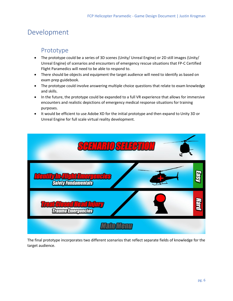# <span id="page-6-0"></span>Development

## <span id="page-6-1"></span>Prototype

- The prototype could be a series of 3D scenes (Unity/ Unreal Engine) or 2D still images (Unity/ Unreal Engine) of scenarios and encounters of emergency rescue situations that FP-C Certified Flight Paramedics will need to be able to respond to.
- There should be objects and equipment the target audience will need to identify as based on exam prep guidebook.
- The prototype could involve answering multiple choice questions that relate to exam knowledge and skills.
- In the future, the prototype could be expanded to a full VR experience that allows for immersive encounters and realistic depictions of emergency medical response situations for training purposes.
- It would be efficient to use Adobe XD for the initial prototype and then expand to Unity 3D or Unreal Engine for full scale virtual reality development.



The final prototype incorporates two different scenarios that reflect separate fields of knowledge for the target audience.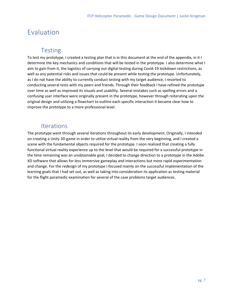# <span id="page-7-0"></span>Evaluation

## <span id="page-7-1"></span>**Testing**

To test my prototype, I created a testing plan that is in this document at the end of the appendix, in it I determine the key mechanics and conditions that will be tested in the prototype. I also determine what I aim to gain from it, the logistics of carrying out digital testing during Covid-19 lockdown restrictions, as well as any potential risks and issues that could be present while testing the prototype. Unfortunately, as I do not have the ability to currently conduct testing with my target audience, I resorted to conducting several tests with my peers and friends. Through their feedback I have refined the prototype over time as well as improved its visuals and usability. Several mistakes such as spelling errors and a confusing user interface were originally present in the prototype, however through reiterating upon the original design and utilizing a flowchart to outline each specific interaction it became clear how to improve the prototype to a more professional level.

#### Iterations

<span id="page-7-2"></span>The prototype went through several iterations throughout its early development. Originally, I intended on creating a Unity 3D game in order to utilize virtual reality from the very beginning, and I created a scene with the fundamental objects required for the prototype. I soon realized that creating a fully functional virtual reality experience up to the level that would be required for a successful prototype in the time remaining was an unobtainable goal, I decided to change direction to a prototype in the Adobe XD software that allows for less immersive gameplay and interactions but more rapid experimentation and change. For the redesign of my prototype I focused mainly on the successful implementation of the learning goals that I had set out, as well as taking into consideration its application as testing material for the flight paramedic examination for several of the case problems target audiences.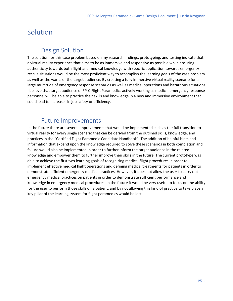# <span id="page-8-0"></span>Solution

# <span id="page-8-1"></span>Design Solution

The solution for this case problem based on my research findings, prototyping, and testing indicate that a virtual reality experience that aims to be as immersive and responsive as possible while ensuring authenticity towards both flight and medical knowledge with specific application towards emergency rescue situations would be the most proficient way to accomplish the learning goals of the case problem as well as the wants of the target audience. By creating a fully immersive virtual reality scenario for a large multitude of emergency response scenarios as well as medical operations and hazardous situations I believe that target audience of FP-C Flight Paramedics actively working as medical emergency response personnel will be able to practice their skills and knowledge in a new and immersive environment that could lead to increases in job safety or efficiency.

## Future Improvements

<span id="page-8-2"></span>In the future there are several improvements that would be implemented such as the full transition to virtual reality for every single scenario that can be derived from the outlined skills, knowledge, and practices in the "Certified Flight Paramedic Candidate Handbook". The addition of helpful hints and information that expand upon the knowledge required to solve these scenarios in both completion and failure would also be implemented in order to further inform the target audience in the related knowledge and empower them to further improve their skills in the future. The current prototype was able to achieve the first two learning goals of recognizing medical flight procedures in order to implement effective medical flight operations and defining medical treatments for patients in order to demonstrate efficient emergency medical practices. However, it does not allow the user to carry out emergency medical practices on patients in order to demonstrate sufficient performance and knowledge in emergency medical procedures. In the future it would be very useful to focus on the ability for the user to perform those skills on a patient, and by not allowing this kind of practice to take place a key pillar of the learning system for flight paramedics would be lost.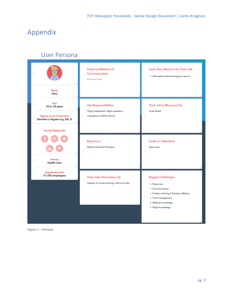# <span id="page-9-0"></span>Appendix

# User Persona

<span id="page-9-1"></span>

|                                                                          | <b>Preferred Method of</b><br>Communication<br>Enter text here       | <b>Tools They Need to Do Their Job</b><br>· Helicopter based emergency rescue                                                                |
|--------------------------------------------------------------------------|----------------------------------------------------------------------|----------------------------------------------------------------------------------------------------------------------------------------------|
| <b>Name</b><br>ii iii<br><b>Hans</b>                                     |                                                                      |                                                                                                                                              |
| ii iii<br>Age<br>25 to 34 years                                          | <b>Job Responsibilities</b><br>Flight preparation, flight operation, | Their Job Is Measured By<br>Lives Saved                                                                                                      |
| <b>Highest Level of Education</b><br>l<br>Bachelor's degree (e.g. BA, B: | emergency medical rescue                                             |                                                                                                                                              |
| <b>Social Networks</b>                                                   |                                                                      |                                                                                                                                              |
|                                                                          | <b>Reports to</b><br><b>Medical Services Providers</b><br>iiiiiii    | <b>Goals or Objectives</b><br>Save Lives                                                                                                     |
| <b>Industry</b><br><b>Health Care</b>                                    |                                                                      |                                                                                                                                              |
| <b>Organization Size</b><br>H<br>51-200 employees                        | They Gain Information By                                             | <b>Biggest Challenges</b>                                                                                                                    |
|                                                                          | Degree, in-house training, online courses<br>l                       | • Resources<br>• Communication<br>. Problem Solving & Decision Making<br>İ<br>· Time management<br>· Medical knowledge<br>· Flight knowledge |

*Figure 1 – Persona*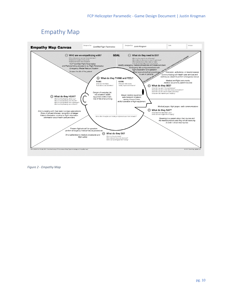# Empathy Map

<span id="page-10-0"></span>

*Figure 2 - Empathy Map*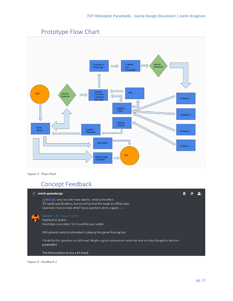<span id="page-11-0"></span>

## Prototype Flow Chart

<span id="page-11-1"></span>*Figure 3 - Flow Chart*

# Concept Feedback



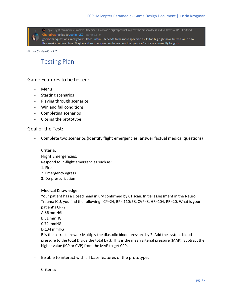(a) Topic: Flight Paramedics Problem Statement: How can a digital product improve the preparedness and skill level of FP-C Certified .. Charadras replied to Justin - 2C Today at 1:36 PM

good clear questions, nicely formulated Justin. TA needs to be more specified as its too big right now. but we will do so this week in offline class. Maybe add another question to see how the qyestion 1 skills are currently taught?

<span id="page-12-0"></span>*Figure 5 - Feedback 2*

#### Testing Plan

#### Game Features to be tested:

- Menu
- Starting scenarios
- Playing through scenarios
- Win and fail conditions
- Completing scenarios
- Closing the prototype

#### Goal of the Test:

Complete two scenarios (Identify flight emergencies, answer factual medical questions)

Criteria:

Flight Emergencies: Respond to in-flight emergencies such as:

1. Fire

- 2. Emergency egress
- 3. De-pressurization

Medical Knowledge:

Your patient has a closed head injury confirmed by CT scan. Initial assessment in the Neuro Trauma ICU, you find the following: ICP=24, BP= 110/58, CVP=8, HR=104, RR=20. What is your patient's CPP? A.86 mmHG B.51 mmHG C.72 mmHG D.134 mmHG B is the correct answer: Multiply the diastolic blood pressure by 2. Add the systolic blood pressure to the total Divide the total by 3. This is the mean arterial pressure (MAP). Subtract the higher value (ICP or CVP) from the MAP to get CPP.

Be able to interact with all base features of the prototype.

Criteria: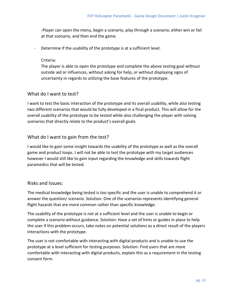-Player can open the menu, begin a scenario, play through a scenario, either win or fail at that scenario, and then end the game.

Determine if the usability of the prototype is at a sufficient level.

#### Criteria:

The player is able to open the prototype and complete the above testing goal without outside aid or influences, without asking for help, or without displaying signs of uncertainty in regards to utilizing the base features of the prototype.

#### What do I want to test?

I want to test the basic interaction of the prototype and its overall usability, while also testing two different scenarios that would be fully developed in a final product. This will allow for the overall usability of the prototype to be tested while also challenging the player with solving scenarios that directly relate to the product's overall goals.

#### What do I want to gain from the test?

I would like to gain some insight towards the usability of the prototype as well as the overall game and product loops. I will not be able to test the prototype with my target audiences however I would still like to gain input regarding the knowledge and skills towards flight paramedics that will be tested.

#### Risks and Issues:

The medical knowledge being tested is too specific and the user is unable to comprehend it or answer the question/ scenario. Solution: One of the scenarios represents identifying general flight hazards that are more common rather than specific knowledge.

The usability of the prototype is not at a sufficient level and the user is unable to begin or complete a scenario without guidance. Solution: Have a set of hints or guides in place to help the user if this problem occurs, take notes on potential solutions as a direct result of the players interactions with the prototype.

The user is not comfortable with interacting with digital products and is unable to use the prototype at a level sufficient for testing purposes. Solution: Find users that are more comfortable with interacting with digital products, explain this as a requirement in the testing consent form.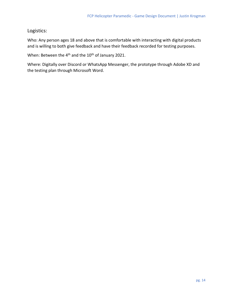Logistics:

Who: Any person ages 18 and above that is comfortable with interacting with digital products and is willing to both give feedback and have their feedback recorded for testing purposes.

When: Between the 4<sup>th</sup> and the 10<sup>th</sup> of January 2021.

Where: Digitally over Discord or WhatsApp Messenger, the prototype through Adobe XD and the testing plan through Microsoft Word.